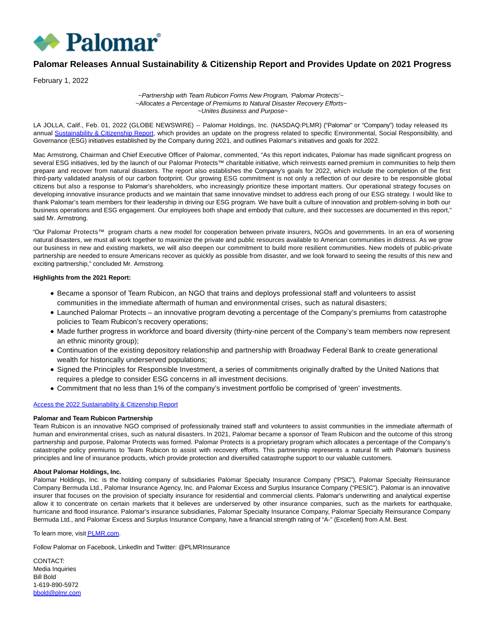

# **Palomar Releases Annual Sustainability & Citizenship Report and Provides Update on 2021 Progress**

February 1, 2022

## ~Partnership with Team Rubicon Forms New Program, 'Palomar Protects'~ ~Allocates a Percentage of Premiums to Natural Disaster Recovery Efforts~ ~Unites Business and Purpose~

LA JOLLA, Calif., Feb. 01, 2022 (GLOBE NEWSWIRE) -- Palomar Holdings, Inc. (NASDAQ:PLMR) ("Palomar" or "Company") today released its annual [Sustainability & Citizenship Report,](https://www.globenewswire.com/Tracker?data=ot9kKyDaji4Ei8GDpR_I8JN-eC3cusfPRY7x4VsksFk5eqOGFpZ1HgG0pq53Lre4Zw3-zKGdNm7tAJgonQCmqhgsp2T88W4hAsWhkREOV21CPhDV8xgPd4XvYJNctGRjWR0aNs8lYQRQTEze4c9_v04WjkhjWB8kglYXCDjfK7dysTSy3zVlVv30uhNQKtXhN8qakfQByN7zI6HcUs7N6A==) which provides an update on the progress related to specific Environmental, Social Responsibility, and Governance (ESG) initiatives established by the Company during 2021, and outlines Palomar's initiatives and goals for 2022.

Mac Armstrong, Chairman and Chief Executive Officer of Palomar, commented, "As this report indicates, Palomar has made significant progress on several ESG initiatives, led by the launch of our Palomar Protects™ charitable initiative, which reinvests earned premium in communities to help them prepare and recover from natural disasters. The report also establishes the Company's goals for 2022, which include the completion of the first third-party validated analysis of our carbon footprint. Our growing ESG commitment is not only a reflection of our desire to be responsible global citizens but also a response to Palomar's shareholders, who increasingly prioritize these important matters. Our operational strategy focuses on developing innovative insurance products and we maintain that same innovative mindset to address each prong of our ESG strategy. I would like to thank Palomar's team members for their leadership in driving our ESG program. We have built a culture of innovation and problem-solving in both our business operations and ESG engagement. Our employees both shape and embody that culture, and their successes are documented in this report," said Mr. Armstrong.

"Our Palomar Protects™ program charts a new model for cooperation between private insurers, NGOs and governments. In an era of worsening natural disasters, we must all work together to maximize the private and public resources available to American communities in distress. As we grow our business in new and existing markets, we will also deepen our commitment to build more resilient communities. New models of public-private partnership are needed to ensure Americans recover as quickly as possible from disaster, and we look forward to seeing the results of this new and exciting partnership," concluded Mr. Armstrong.

## **Highlights from the 2021 Report:**

- Became a sponsor of Team Rubicon, an NGO that trains and deploys professional staff and volunteers to assist communities in the immediate aftermath of human and environmental crises, such as natural disasters;
- Launched Palomar Protects an innovative program devoting a percentage of the Company's premiums from catastrophe policies to Team Rubicon's recovery operations;
- Made further progress in workforce and board diversity (thirty-nine percent of the Company's team members now represent an ethnic minority group);
- Continuation of the existing depository relationship and partnership with Broadway Federal Bank to create generational wealth for historically underserved populations;
- Signed the Principles for Responsible Investment, a series of commitments originally drafted by the United Nations that requires a pledge to consider ESG concerns in all investment decisions.
- Commitment that no less than 1% of the company's investment portfolio be comprised of 'green' investments.

# [Access the 2022 Sustainability & Citizenship Report](https://www.globenewswire.com/Tracker?data=7kZfZEeqVSoLArlCbz7o03ThVCGELXTJRvOSlHRDXoYjOVPEQzFKAHlzI56_mfa6fV5K0IPgEbOzuKqKX4CcXW1KPjImwzS3MnIV0KYBjHg2RgXNlbo-FbFyCWnmLOslv8sun9UrA_qjZm8NkaGbDlXg69NwxOtnOwV-UpOOO-QvA-yXfy47jRTXE2ocWuKPZrYlrkC8zrz7dI4CH2IqCTf9QxrEr_SDf5OO2i7a8cI=)

### **Palomar and Team Rubicon Partnership**

Team Rubicon is an innovative NGO comprised of professionally trained staff and volunteers to assist communities in the immediate aftermath of human and environmental crises, such as natural disasters. In 2021, Palomar became a sponsor of Team Rubicon and the outcome of this strong partnership and purpose, Palomar Protects was formed. Palomar Protects is a proprietary program which allocates a percentage of the Company's catastrophe policy premiums to Team Rubicon to assist with recovery efforts. This partnership represents a natural fit with Palomar's business principles and line of insurance products, which provide protection and diversified catastrophe support to our valuable customers.

### **About Palomar Holdings, Inc.**

Palomar Holdings, Inc. is the holding company of subsidiaries Palomar Specialty Insurance Company ("PSIC"), Palomar Specialty Reinsurance Company Bermuda Ltd., Palomar Insurance Agency, Inc. and Palomar Excess and Surplus Insurance Company ("PESIC"). Palomar is an innovative insurer that focuses on the provision of specialty insurance for residential and commercial clients. Palomar's underwriting and analytical expertise allow it to concentrate on certain markets that it believes are underserved by other insurance companies, such as the markets for earthquake, hurricane and flood insurance. Palomar's insurance subsidiaries, Palomar Specialty Insurance Company, Palomar Specialty Reinsurance Company Bermuda Ltd., and Palomar Excess and Surplus Insurance Company, have a financial strength rating of "A-" (Excellent) from A.M. Best.

To learn more, visit **PLMR.com**.

Follow Palomar on Facebook, LinkedIn and Twitter: @PLMRInsurance

CONTACT: Media Inquiries Bill Bold 1-619-890-5972 [bbold@plmr.com](mailto:bbold@plmr.com)